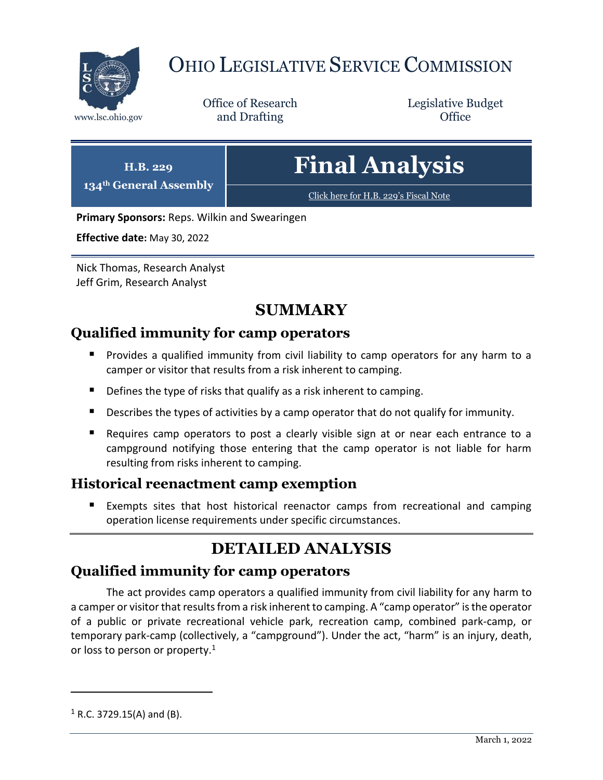

# OHIO LEGISLATIVE SERVICE COMMISSION

Office of Research www.lsc.ohio.gov **and Drafting Office** 

Legislative Budget

| H.B. 229<br>134 <sup>th</sup> General Assembly | <b>Final Analysis</b>                 |
|------------------------------------------------|---------------------------------------|
|                                                | Click here for H.B. 229's Fiscal Note |

**Primary Sponsors:** Reps. Wilkin and Swearingen

**Effective date:** May 30, 2022

Nick Thomas, Research Analyst Jeff Grim, Research Analyst

## **SUMMARY**

#### **Qualified immunity for camp operators**

- Provides a qualified immunity from civil liability to camp operators for any harm to a camper or visitor that results from a risk inherent to camping.
- Defines the type of risks that qualify as a risk inherent to camping.
- Describes the types of activities by a camp operator that do not qualify for immunity.
- Requires camp operators to post a clearly visible sign at or near each entrance to a campground notifying those entering that the camp operator is not liable for harm resulting from risks inherent to camping.

#### **Historical reenactment camp exemption**

 Exempts sites that host historical reenactor camps from recreational and camping operation license requirements under specific circumstances.

## **DETAILED ANALYSIS**

### **Qualified immunity for camp operators**

The act provides camp operators a qualified immunity from civil liability for any harm to a camper or visitor that results from a risk inherent to camping. A "camp operator" is the operator of a public or private recreational vehicle park, recreation camp, combined park-camp, or temporary park-camp (collectively, a "campground"). Under the act, "harm" is an injury, death, or loss to person or property.<sup>1</sup>

 $\overline{a}$ 

 $1$  R.C. 3729.15(A) and (B).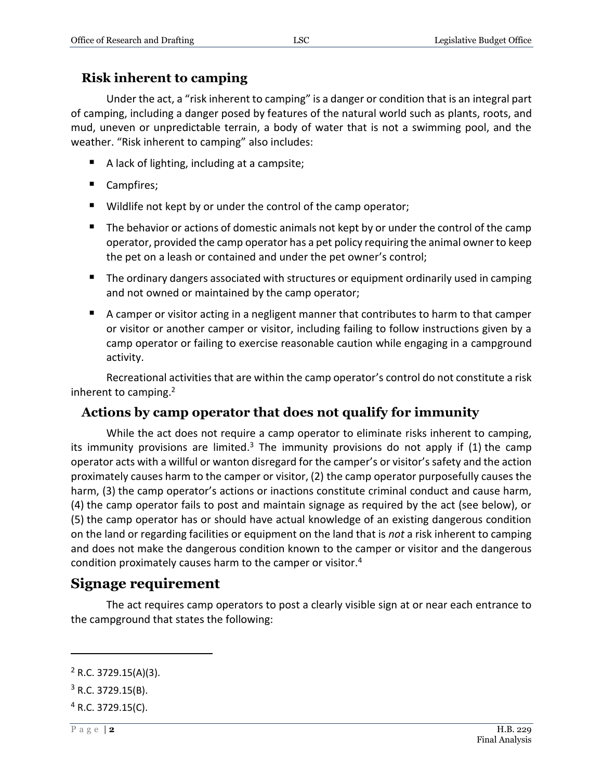#### **Risk inherent to camping**

Under the act, a "risk inherent to camping" is a danger or condition that is an integral part of camping, including a danger posed by features of the natural world such as plants, roots, and mud, uneven or unpredictable terrain, a body of water that is not a swimming pool, and the weather. "Risk inherent to camping" also includes:

- A lack of lighting, including at a campsite;
- Campfires;
- Wildlife not kept by or under the control of the camp operator;
- The behavior or actions of domestic animals not kept by or under the control of the camp operator, provided the camp operator has a pet policy requiring the animal owner to keep the pet on a leash or contained and under the pet owner's control;
- **The ordinary dangers associated with structures or equipment ordinarily used in camping** and not owned or maintained by the camp operator;
- A camper or visitor acting in a negligent manner that contributes to harm to that camper or visitor or another camper or visitor, including failing to follow instructions given by a camp operator or failing to exercise reasonable caution while engaging in a campground activity.

Recreational activities that are within the camp operator's control do not constitute a risk inherent to camping.<sup>2</sup>

### **Actions by camp operator that does not qualify for immunity**

While the act does not require a camp operator to eliminate risks inherent to camping, its immunity provisions are limited.<sup>3</sup> The immunity provisions do not apply if (1) the camp operator acts with a willful or wanton disregard for the camper's or visitor'ssafety and the action proximately causes harm to the camper or visitor, (2) the camp operator purposefully causes the harm, (3) the camp operator's actions or inactions constitute criminal conduct and cause harm, (4) the camp operator fails to post and maintain signage as required by the act (see below), or (5) the camp operator has or should have actual knowledge of an existing dangerous condition on the land or regarding facilities or equipment on the land that is *not* a risk inherent to camping and does not make the dangerous condition known to the camper or visitor and the dangerous condition proximately causes harm to the camper or visitor.<sup>4</sup>

## **Signage requirement**

The act requires camp operators to post a clearly visible sign at or near each entrance to the campground that states the following:

 $\overline{a}$ 

 $2$  R.C. 3729.15(A)(3).

 $3$  R.C. 3729.15(B).

 $4$  R.C. 3729.15(C).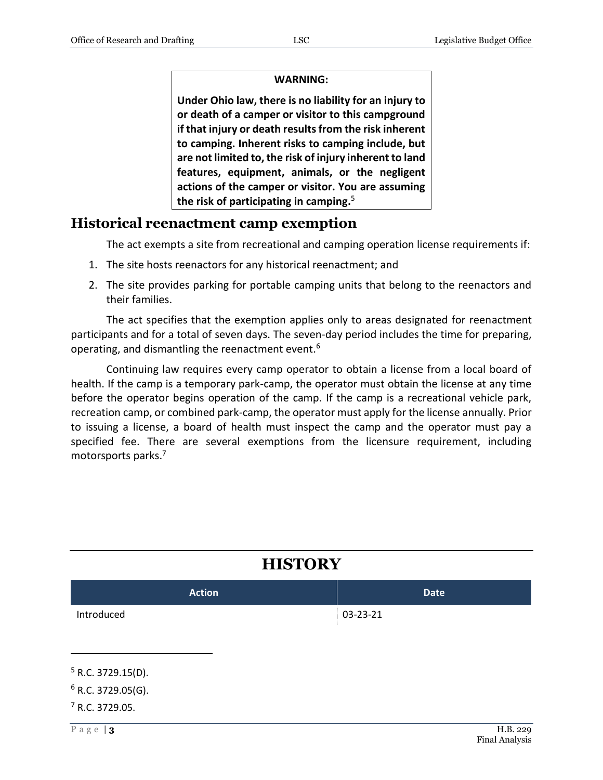#### **WARNING:**

**Under Ohio law, there is no liability for an injury to or death of a camper or visitor to this campground if that injury or death results from the risk inherent to camping. Inherent risks to camping include, but are not limited to, the risk of injury inherent to land features, equipment, animals, or the negligent actions of the camper or visitor. You are assuming the risk of participating in camping.** 5

#### **Historical reenactment camp exemption**

The act exempts a site from recreational and camping operation license requirements if:

- 1. The site hosts reenactors for any historical reenactment; and
- 2. The site provides parking for portable camping units that belong to the reenactors and their families.

The act specifies that the exemption applies only to areas designated for reenactment participants and for a total of seven days. The seven-day period includes the time for preparing, operating, and dismantling the reenactment event.<sup>6</sup>

Continuing law requires every camp operator to obtain a license from a local board of health. If the camp is a temporary park-camp, the operator must obtain the license at any time before the operator begins operation of the camp. If the camp is a recreational vehicle park, recreation camp, or combined park-camp, the operator must apply for the license annually. Prior to issuing a license, a board of health must inspect the camp and the operator must pay a specified fee. There are several exemptions from the licensure requirement, including motorsports parks.<sup>7</sup>

| <b>HISIUKY</b>             |             |  |
|----------------------------|-------------|--|
| <b>Action</b>              | <b>Date</b> |  |
| Introduced                 | 03-23-21    |  |
| $5$ R.C. 3729.15(D).       |             |  |
| $6$ R.C. 3729.05(G).       |             |  |
| <sup>7</sup> R.C. 3729.05. |             |  |
| Page $ 3$                  | H.B. 229    |  |

**HISTORY**